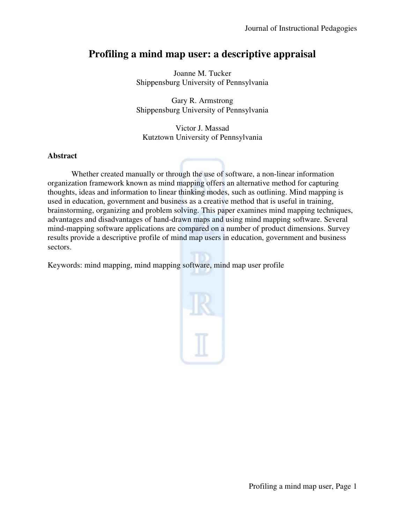# Profiling a mind map user: a descriptive appraisal

Shippensburg University of Pennsylvania Joanne M. Tucker

Shippensburg University of Pennsylvania Gary R. Armstrong

Kutztown University of Pennsylvania Victor J. Massad

## **Abstract**

Whether created manually or through the use of software, a non-linear information organization framework known as mind mapping offers an alternative method for capturing organization framework known as mind mapping offers an alternative method for capturing thoughts, ideas and information to linear thinking modes, such as outlining. Mind mapping is used in education, government and business as a creative method that is useful in training, brainstorming, organizing and problem solving. This paper examines mind mapping techniques, advantages and disadvantages of hand-drawn maps and using mind mapping software. Several mind-mapping software applications are compared on a number of product dimensions. Survey results provide a descriptive profile of mind map users in education, government and business sectors. on, government and business as a creative method that is useful in training,<br>organizing and problem solving. This paper examines mind mapping techniques,<br>disadvantages of hand-drawn maps and using mind mapping software. Se From the survey of the structure of the structure of the structure of the structure of the structure of the structure of the structure of the structure of the structure of the structure of the structure of the structure of through the use of software, a non-linear information<br>nd mapping offers an alternative method for capturing<br>ear thinking modes, such as outlining. Mind mapping is<br>usiness as a creative method that is useful in training,<br>m

Keywords: mind mapping, mind mapping software, mind map user profile

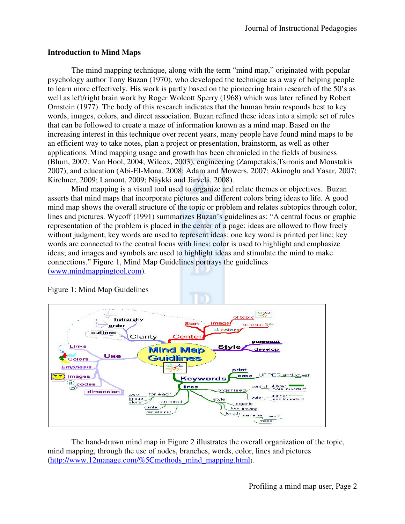## **Introduction to Mind Maps**

The mind mapping technique, along with the term "mind map," originated with popular The mind mapping technique, along with the term "mind map," originated with popular psychology author Tony Buzan (1970), who developed the technique as a way of helping people to learn more effectively. His work is partly based on the pioneering brain research of the 50's as well as left/right brain work by Roger Wolcott Sperry (1968) which was later refined by Robert Ornstein (1977). The body of this research indicates that the human brain responds best to key words, images, colors, and direct association. Buzan refined these ideas into a simple set of rules that can be followed to create a maze of information known as a mind map. Based on th increasing interest in this technique over recent years, many people have found mind maps to be an efficient way to take notes, plan a project or presentation, brainstorm, as well as other applications. Mind mapping usage and growth has been chronicled i (Blum, 2007; Van Hool, 2004; Wilcox, 2003), engineering ( (Zampetakis,Tsironis and Moustakis 2007), and education (Abi-El-Mona, 2008; Adam and Mowers, 2007; Akinoglu and Yasar, 2007; Kirchner, 2009; Lamont, 2009; Näykki and Järvelä, 2008). Kirchner, 2009; Lamont, 2009; Näykki and Järvelä, learn more effectively. His work is partly based on the pioneering brain research of the 50's<br>
ill as left/right brain work by Roger Wolcott Sperry (1968) which was later refined by Robe<br>
nstein (1977). The body of this re structional Pedagogies<br>ginated with popular<br>way of helping people<br>research of the 50's as<br>ter refined by Robert<br>esponds best to key<br>o a simple set of rules<br>... Based on the<br>wand mind maps to be<br>swell as other<br>ields of busi as a way of helping<br>prain research of the<br>vas later refined by F<br>rain responds best to<br>as into a simple set of<br>map. Based on the

Mind mapping is a visual tool used to organize and relate themes or objectives. Buzan asserts that mind maps that incorporate pictures and different colors bring ideas to life. A good Mind mapping is a visual tool used to organize and relate themes or objectives. Buzan asserts that mind maps that incorporate pictures and different colors bring ideas to life. A good mind map shows the overall structure o lines and pictures. Wycoff (1991) summarizes Buzan's guidelines as: "A central focus or graphic representation of the problem is placed in the center of a page; ideas are allowed to flow freely without judgment; key words are used to represent ideas; one key word is printed per line; key words are connected to the central focus with lines; color is used to highlight and emphasize ideas; and images and symbols are used to highlight ideas and stimulate the mind to make connections." Figure 1, Mind Map Guidelines portrays the guidelines (www.mindmappingtool.com).



## Figure 1: Mind Map Guidelines

The hand-drawn mind map in Figure 2 illustrates the overall organization of the topic, mind mapping, through the use of nodes, branches, words, color, lines and pictures (http://www.12manage.com/%5Cmethods\_mind\_mapping.html). (http://www.12manage.com/%5Cmethods\_mind\_mapping.html).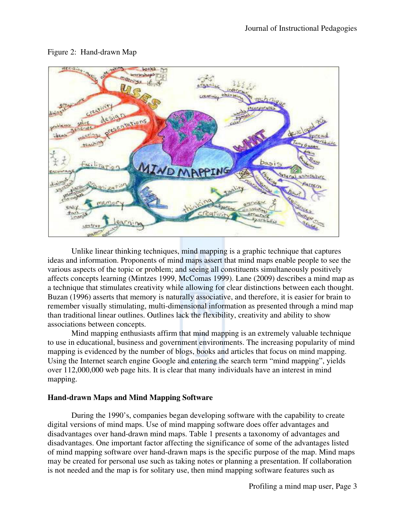

## Figure 2: Hand-drawn Map

Unlike linear thinking techniques, mind mapping is a graphic technique that captures ideas and information. Proponents of mind maps assert that mind maps enable people to see the Unlike linear thinking techniques, mind mapping is a graphic technique that captures<br>ideas and information. Proponents of mind maps assert that mind maps enable people to see t<br>various aspects of the topic or problem; and affects concepts learning (Mintzes 1999, McComas 1999). Lane (2009) describes a mind map as a technique that stimulates creativity while allowing for clear distinctions between each thought. Unlike linear thinking techniques, mind mapping is a graphic technique that captures ideas and information. Proponents of mind maps assert that mind maps enable people to see the various aspects of the topic or problem; an remember visually stimulating, multi-dimensional information as presented through a mind map than traditional linear outlines. Outlines lack the flexibility, creativity and ability to show associations between concepts. naturally associative, and therefore, it is easier for brain to<br>dimensional information as presented through a mind ma<br>es lack the flexibility, creativity and ability to show<br>rm that mind mapping is an extremely valuable t

Mind mapping enthusiasts affirm that mind mapping is an extremely valuable technique to use in educational, business and government environments. The increasing popularity of mind mapping is evidenced by the number of blogs, books and articles that focus on mind mapping. Using the Internet search engine Google and entering the search term "mind mapping", yields over 112,000,000 web page hits. It is clear that many individuals have an interest in mind mapping. In traditional linear outlines. Outlines lack the flexibility, creativity and ability to show<br>sociations between concepts.<br>Mind mapping enthusiasts affirm that mind mapping is an extremely valuable technique<br>use in educati

## **Hand-drawn Maps and Mind Mapping Software**

During the 1990's, companies began developing software with the capability to create digital versions of mind maps. Use of mind mapping software does offer advantages and disadvantages over hand-drawn mind maps. Table 1 presents a taxonomy of advantages and disadvantages. One important factor affecting the significance of some of the advantages listed During the 1990's, companies began developing software with the capability to create digital versions of mind maps. Use of mind mapping software does offer advantages and disadvantages over hand-drawn mind maps. Table 1 pr of mind mapping software over hand-drawn maps is the specific purpose of the map. Mind maps may be created for personal use such as taking notes or planning a presentation. If collaboration is not needed and the map is for solitary use, then mind mapping software features such as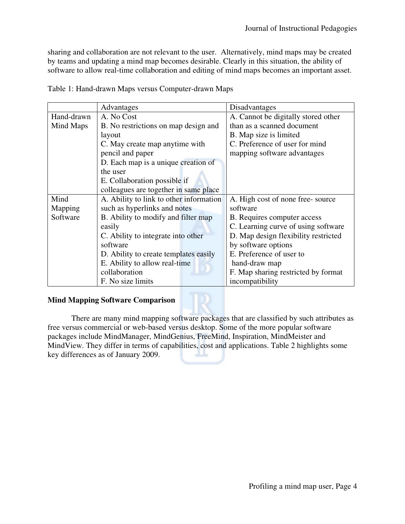|                             | Table 1: Hand-drawn Maps versus Computer-drawn Maps                                                                                                                                                                                                                                                                                                                                                                                                      |                                                                                                                                                                                                               |
|-----------------------------|----------------------------------------------------------------------------------------------------------------------------------------------------------------------------------------------------------------------------------------------------------------------------------------------------------------------------------------------------------------------------------------------------------------------------------------------------------|---------------------------------------------------------------------------------------------------------------------------------------------------------------------------------------------------------------|
|                             | Advantages                                                                                                                                                                                                                                                                                                                                                                                                                                               | Disadvantages                                                                                                                                                                                                 |
| Hand-drawn<br>Mind Maps     | A. No Cost<br>B. No restrictions on map design and<br>layout<br>C. May create map anytime with<br>pencil and paper<br>D. Each map is a unique creation of<br>the user<br>E. Collaboration possible if                                                                                                                                                                                                                                                    | A. Cannot be digitally stored other<br>than as a scanned document<br>B. Map size is limited<br>C. Preference of user for mind<br>mapping software advantages                                                  |
|                             | colleagues are together in same place                                                                                                                                                                                                                                                                                                                                                                                                                    |                                                                                                                                                                                                               |
| Mind<br>Mapping<br>Software | A. Ability to link to other information<br>such as hyperlinks and notes<br>B. Ability to modify and filter map<br>easily<br>C. Ability to integrate into other<br>software<br>D. Ability to create templates easily                                                                                                                                                                                                                                      | A. High cost of none free-source<br>software<br>B. Requires computer access<br>C. Learning curve of using software<br>D. Map design flexibility restricted<br>by software options<br>E. Preference of user to |
|                             | E. Ability to allow real-time<br>collaboration<br>F. No size limits                                                                                                                                                                                                                                                                                                                                                                                      | hand-draw map<br>F. Map sharing restricted by format<br>incompatibility                                                                                                                                       |
|                             |                                                                                                                                                                                                                                                                                                                                                                                                                                                          |                                                                                                                                                                                                               |
|                             | <b>Mind Mapping Software Comparison</b><br>There are many mind mapping software packages that are classified by such attributes as<br>free versus commercial or web-based versus desktop. Some of the more popular software<br>packages include MindManager, MindGenius, FreeMind, Inspiration, MindMeister and<br>MindView. They differ in terms of capabilities, cost and applications. Table 2 highlights some<br>key differences as of January 2009. |                                                                                                                                                                                                               |
|                             |                                                                                                                                                                                                                                                                                                                                                                                                                                                          |                                                                                                                                                                                                               |

## **Mind Mapping Software Comparison**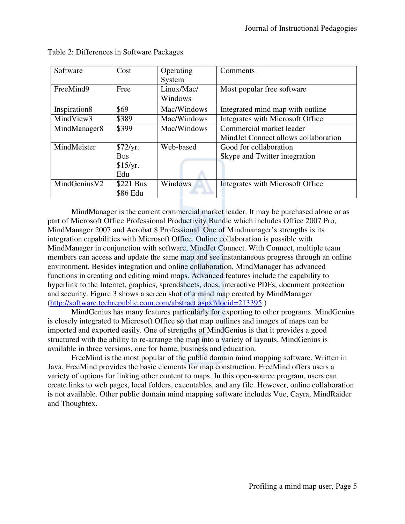| Software     | Cost                                      | Operating<br>System                                                                                                                      | Comments                                                                                                                                                                                                                                                                                                                                                                                                                                                                                                                                                                                                                                                                                                                                                                                                                                                                                                                                              |
|--------------|-------------------------------------------|------------------------------------------------------------------------------------------------------------------------------------------|-------------------------------------------------------------------------------------------------------------------------------------------------------------------------------------------------------------------------------------------------------------------------------------------------------------------------------------------------------------------------------------------------------------------------------------------------------------------------------------------------------------------------------------------------------------------------------------------------------------------------------------------------------------------------------------------------------------------------------------------------------------------------------------------------------------------------------------------------------------------------------------------------------------------------------------------------------|
| FreeMind9    | Free                                      | Linux/Mac/<br>Windows                                                                                                                    | Most popular free software                                                                                                                                                                                                                                                                                                                                                                                                                                                                                                                                                                                                                                                                                                                                                                                                                                                                                                                            |
| Inspiration8 | \$69                                      | Mac/Windows                                                                                                                              | Integrated mind map with outline                                                                                                                                                                                                                                                                                                                                                                                                                                                                                                                                                                                                                                                                                                                                                                                                                                                                                                                      |
| MindView3    | \$389                                     | Mac/Windows                                                                                                                              | Integrates with Microsoft Office                                                                                                                                                                                                                                                                                                                                                                                                                                                                                                                                                                                                                                                                                                                                                                                                                                                                                                                      |
| MindManager8 | \$399                                     | Mac/Windows                                                                                                                              | Commercial market leader<br>MindJet Connect allows collaboration                                                                                                                                                                                                                                                                                                                                                                                                                                                                                                                                                                                                                                                                                                                                                                                                                                                                                      |
| MindMeister  | \$72/yr.<br><b>Bus</b><br>\$15/yr.<br>Edu | Web-based                                                                                                                                | Good for collaboration<br>Skype and Twitter integration                                                                                                                                                                                                                                                                                                                                                                                                                                                                                                                                                                                                                                                                                                                                                                                                                                                                                               |
| MindGeniusV2 | \$221 Bus<br>\$86 Edu                     | Windows                                                                                                                                  | Integrates with Microsoft Office                                                                                                                                                                                                                                                                                                                                                                                                                                                                                                                                                                                                                                                                                                                                                                                                                                                                                                                      |
|              |                                           |                                                                                                                                          | integration capabilities with Microsoft Office. Online collaboration is possible with<br>MindManager in conjunction with software, MindJet Connect. With Connect, multiple team<br>members can access and update the same map and see instantaneous progress through an online<br>environment. Besides integration and online collaboration, MindManager has advanced<br>functions in creating and editing mind maps. Advanced features include the capability to<br>hyperlink to the Internet, graphics, spreadsheets, docs, interactive PDFs, document protection                                                                                                                                                                                                                                                                                                                                                                                   |
|              |                                           | (http://software.techrepublic.com.com/abstract.aspx?docid=213395.)<br>available in three versions, one for home, business and education. | and security. Figure 3 shows a screen shot of a mind map created by MindManager<br>MindGenius has many features particularly for exporting to other programs. MindGenius<br>is closely integrated to Microsoft Office so that map outlines and images of maps can be<br>imported and exported easily. One of strengths of MindGenius is that it provides a good<br>structured with the ability to re-arrange the map into a variety of layouts. MindGenius is<br>FreeMind is the most popular of the public domain mind mapping software. Written in<br>Java, FreeMind provides the basic elements for map construction. FreeMind offers users a<br>variety of options for linking other content to maps. In this open-source program, users can<br>create links to web pages, local folders, executables, and any file. However, online collaboration<br>is not available. Other public domain mind mapping software includes Vue, Cayra, MindRaider |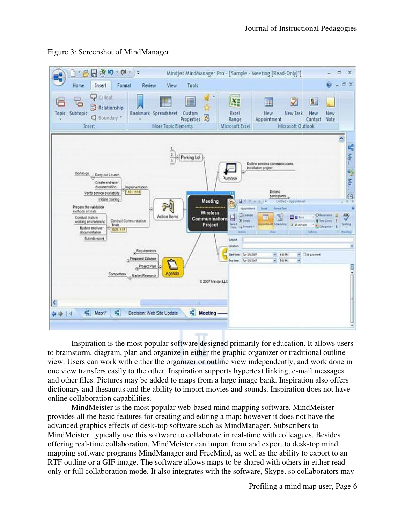

## Figure 3: Screenshot of MindManager

Inspiration is the most popular software designed primarily for education. It allows users to brainstorm, diagram, plan and organize in either the graphic organizer or tra view. Users can work with either the organizer or outline view independently, and work done in view. Users can work with either the organizer or outline view independently, and work done one view transfers easily to the other. Inspiration supports hypertext linking, e-mail messages and other files. Pictures may be added to maps from a large image bank. Inspiration also offers dictionary and thesaurus and the ability to import movies and sounds. Inspiration does not have online collaboration capabilities. ary and thesaurus and the ability to import movies and sounds. Inspiration does no<br>collaboration capabilities.<br>MindMeister is the most popular web-based mind mapping software. MindMeiste ither the graphic organizer or traditional outl<br>r or outline view independently, and work do<br>ion supports hypertext linking, e-mail messag<br>s from a large image bank. Inspiration also of<br>port movies and sounds. Inspiration

provides all the basic features for creating and editing a map; however it does not have the provides all the basic features for creating and editing a map; however it does not have the advanced graphics effects of desk-top software such as MindManager. Subscribers to MindMeister, typically use this software to collaborate in real-time with colleagues. Besides advanced graphics effects of desk-top software such as MindManager. Subscribers to<br>MindMeister, typically use this software to collaborate in real-time with colleagues. Besides<br>offering real-time collaboration, MindMeister mapping software programs MindManager and FreeMind, as well as the ability to export to an offering real-time collaboration, MindMeister can import from and export to desk-top mind<br>mapping software programs MindManager and FreeMind, as well as the ability to export to an<br>RTF outline or a GIF image. The software only or full collaboration mode. It also integrates with the software, Skype, so collaborators may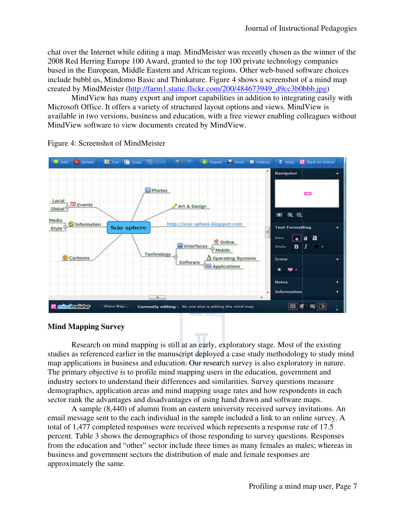chat over the Internet while editing a map. MindMeister was recently chosen as the winner of the 2008 Red Herring Europe 100 Award, granted to the top 100 private technology companies chat over the Internet while editing a map. MindMeister was recently chosen as the winner of th<br>2008 Red Herring Europe 100 Award, granted to the top 100 private technology companies<br>based in the European, Middle Eastern a include bubbl.us, Mindomo Basic and Thinkature. Figure 4 shows a screenshot of a mind map created by MindMeister (http://farm1.static.flickr.com/200/484673949\_d9cc3b0bbb.jpg 100 Award, granted to the top 100 private technology compani<br>iddle Eastern and African regions. Other web-based software ch<br>no Basic and Thinkature. Figure 4 shows a screenshot of a mind<br>http://farm1.static.flickr.com/200/

MindView has many export and import capabilities in addition to integrating easily with Microsoft Office. It offers a variety of structured layout options and views. MindView is available in two versions, business and education, with a free viewer enabling colleagues without MindView software to view documents created by MindView. bubbl.us, Mindomo Basic and Thinkature. Figure 4 shows a screenshot of a mind map<br>by MindMeister (http://farm1.static.flickr.com/200/484673949\_d9cc3b0bbb.jpg)<br>MindView has many export and import capabilities in addition to



Figure 4: Screenshot of MindMeister

## **Mind Mapping Survey**

Research on mind mapping is still at an early, exploratory stage. Most of the existing Research on mind mapping is still at an early, exploratory stage. Most of the existing<br>studies as referenced earlier in the manuscript deployed a case study methodology to study mind map applications in business and education. Our research survey is also exploratory The primary objective is to profile mind mapping users in the education, government and industry sectors to understand their differences and similarities. Survey questions measure demographics, application areas and mind mapping usage rates and how respondents in each sector rank the advantages and disadvantages of using hand drawn and software maps.

A sample (8,440) of alumni from an eastern university received survey invitations. An email message sent to the each individual in the sample included a link to an online survey. A total of 1,477 completed responses were received which represents a response rate of 17.5 percent. Table 3 shows the demographics of those responding to survey questions. Responses from the education and "other" sector include three times as many females as males; whereas in business and government sectors the distribution of male and female responses are approximately the same. A sample (8,440) of alumni from an eastern university received survey invitations in sexual message sent to the each individual in the sample included a link to an online sum of 1,477 completed responses were received whic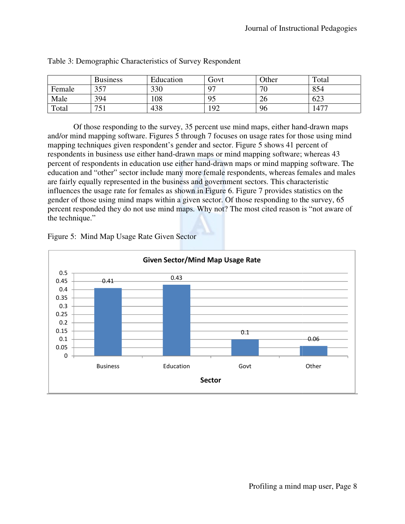|        | <b>Business</b> | Education | Govt     | Other           | Total     |
|--------|-----------------|-----------|----------|-----------------|-----------|
| Female | 357             | 330       | $\Omega$ | 70 <sup>-</sup> | 854       |
| Male   | 394             | 108       | 95       | 26              | 623       |
| Total  | 751             | 438       | 192      | 96              | $147^{-}$ |

| Table 3: Demographic Characteristics of Survey Respondent |  |  |
|-----------------------------------------------------------|--|--|
|-----------------------------------------------------------|--|--|

Of those responding to the survey, 35 percent use mind maps, either hand-drawn maps and/or mind mapping software. Figures 5 through 7 focuses on usage rates for those using mind mapping techniques given respondent's gender and sector. Figure 5 shows 41 percent of respondents in business use either hand-drawn maps or mind mapping software; whereas 43 and/or mind mapping software. Figures 5 through 7 focuses on usage rates for those using mind<br>mapping techniques given respondent's gender and sector. Figure 5 shows 41 percent of<br>respondents in business use either hand-dr education and "other" sector include many more female respondents, whereas females and males are fairly equally represented in the business and government sectors. This characteristic are fairly equally represented in the business and government sectors. This characteristic influences the usage rate for females as shown in Figure 6. Figure 7 provides statistics on the gender of those using mind maps within a given sector. Of those responding to the survey, 65 percent responded they do not use mind maps. Why not? The most cited reason is "not aware of the technique."



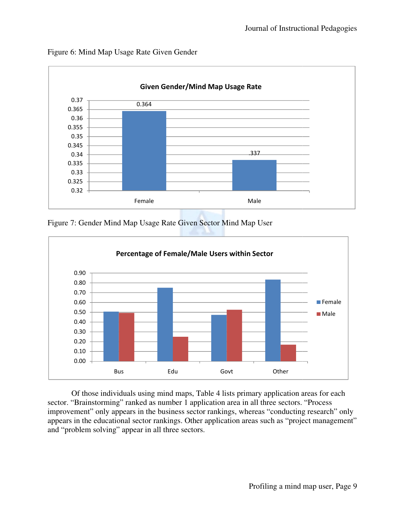

Figure 6: Mind Map Usage Rate Given Gender

Figure 7: Gender Mind Map Usage Rate Given Sector Mind Map User



Of those individuals using mind maps, Table 4 lists primary application areas for each Of those individuals using mind maps, Table 4 lists primary application areas for e<br>sector. "Brainstorming" ranked as number 1 application area in all three sectors. "Process improvement" only appears in the business sector rankings, whereas "conducting research" only appears in the educational sector rankings. Other application areas such as "project management" and "problem solving" appear in all three sectors.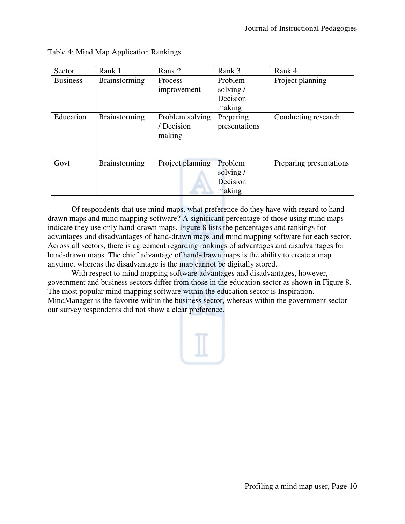| Brainstorming<br>Problem<br>Project planning<br><b>Business</b><br>Process<br>solving/<br>improvement<br>Decision<br>making<br>Education<br>Preparing<br><b>Brainstorming</b><br>Problem solving<br>/ Decision<br>presentations<br>making<br>Project planning<br>Problem<br>Govt<br>Brainstorming<br>solving/<br>Decision<br>making<br>Of respondents that use mind maps, what preference do they have with regard to hand-<br>drawn maps and mind mapping software? A significant percentage of those using mind maps<br>indicate they use only hand-drawn maps. Figure 8 lists the percentages and rankings for<br>advantages and disadvantages of hand-drawn maps and mind mapping software for each sector.<br>Across all sectors, there is agreement regarding rankings of advantages and disadvantages for<br>hand-drawn maps. The chief advantage of hand-drawn maps is the ability to create a map<br>anytime, whereas the disadvantage is the map cannot be digitally stored.<br>With respect to mind mapping software advantages and disadvantages, however,<br>government and business sectors differ from those in the education sector as shown in Figure 8.<br>The most popular mind mapping software within the education sector is Inspiration.<br>MindManager is the favorite within the business sector, whereas within the government sector<br>our survey respondents did not show a clear preference. | Sector | Rank 1 | Rank 2 | Rank 3 | Rank 4                  |
|----------------------------------------------------------------------------------------------------------------------------------------------------------------------------------------------------------------------------------------------------------------------------------------------------------------------------------------------------------------------------------------------------------------------------------------------------------------------------------------------------------------------------------------------------------------------------------------------------------------------------------------------------------------------------------------------------------------------------------------------------------------------------------------------------------------------------------------------------------------------------------------------------------------------------------------------------------------------------------------------------------------------------------------------------------------------------------------------------------------------------------------------------------------------------------------------------------------------------------------------------------------------------------------------------------------------------------------------------------------------------------------------------------------------------|--------|--------|--------|--------|-------------------------|
|                                                                                                                                                                                                                                                                                                                                                                                                                                                                                                                                                                                                                                                                                                                                                                                                                                                                                                                                                                                                                                                                                                                                                                                                                                                                                                                                                                                                                            |        |        |        |        |                         |
|                                                                                                                                                                                                                                                                                                                                                                                                                                                                                                                                                                                                                                                                                                                                                                                                                                                                                                                                                                                                                                                                                                                                                                                                                                                                                                                                                                                                                            |        |        |        |        | Conducting research     |
|                                                                                                                                                                                                                                                                                                                                                                                                                                                                                                                                                                                                                                                                                                                                                                                                                                                                                                                                                                                                                                                                                                                                                                                                                                                                                                                                                                                                                            |        |        |        |        | Preparing presentations |
|                                                                                                                                                                                                                                                                                                                                                                                                                                                                                                                                                                                                                                                                                                                                                                                                                                                                                                                                                                                                                                                                                                                                                                                                                                                                                                                                                                                                                            |        |        |        |        |                         |
|                                                                                                                                                                                                                                                                                                                                                                                                                                                                                                                                                                                                                                                                                                                                                                                                                                                                                                                                                                                                                                                                                                                                                                                                                                                                                                                                                                                                                            |        |        |        |        |                         |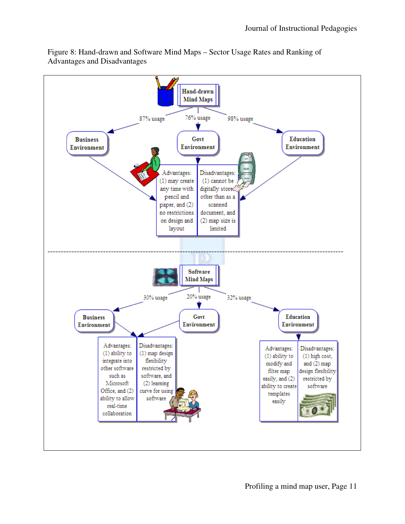

Figure 8: Hand-drawn and Software Mind Maps - Sector Usage Rates and Ranking of Advantages and Disadvantages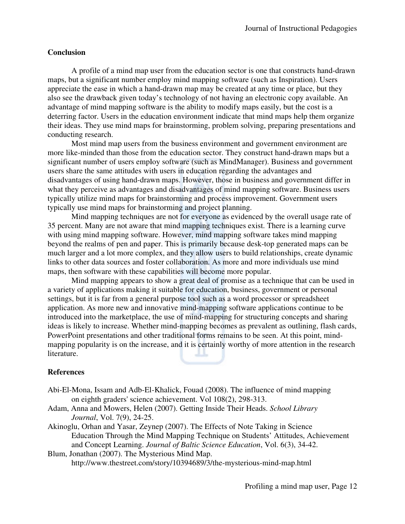## **Conclusion**

A profile of a mind map user from the education sector is one that constructs hand-drawn maps, but a significant number employ mind mapping software (such as Inspiration). Users appreciate the ease in which a hand-drawn map may be created at any time or place, but they also see the drawback given today's technology of not having an electronic copy available. An advantage of mind mapping software is the ability to modify maps easily, but the cost is a also see the drawback given today's technology of not having an electronic copy available. An advantage of mind mapping software is the ability to modify maps easily, but the cost is a deterring factor. Users in the educat their ideas. They use mind maps for brainstorming, problem solving, preparing presentations and conducting research. eas. They use mind maps for brainstorming, problem solving, preparing presentations at<br>ting research.<br>Most mind map users from the business environment and government environment are

more like-minded than those from the education sector. They construct hand-drawn maps but a significant number of users employ software (such as MindManager). Business and government users share the same attitudes with users in education regarding the advantages and disadvantages of using hand-drawn maps. However, those in business and government differ in what they perceive as advantages and disadvantages of mind mapping software. Business users typically utilize mind maps for brainstorming and process improvement. Governmen typically use mind maps for brainstorming and project planning. icant number of users employ software (such as MindManager). Business and government share the same attitudes with users in education regarding the advantages and vantages of using hand-drawn maps. However, those in busine reated at any time or place, but the<br>noving an electronic copy available.<br>dify maps easily, but the cost is a<br>cate that mind maps help them orga<br>lem solving, preparing presentation<br>nent and government environment a<br>They co

Mind mapping techniques are not for everyone as evidenced by the overall usage rate of 35 percent. Many are not aware that mind mapping techniques exist. There is a learning curve with using mind mapping software. However, mind mapping software takes mind mapping with using mind mapping software. However, mind mapping software takes mind mapping<br>beyond the realms of pen and paper. This is primarily because desk-top generated maps can be beyond the realms of pen and paper. This is primarily because desk-top generated maps can be much larger and a lot more complex, and they allow users to build relationships, create dynamic links to other data sources and foster collaboration. As more and more individuals use mind maps, then software with these capabilities will become more popular.

Mind mapping appears to show a great deal of promise as a technique that can be used in a variety of applications making it suitable for education, business, government or personal settings, but it is far from a general purpose tool such as a word processor or spreadsheet application. As more new and innovative mind-mapping software applications continue to be introduced into the marketplace, the use of mind-mapping for structuring concepts and sharing ideas is likely to increase. Whether mind-mapping becomes as prevalent as outlining, flash cards, application. As more new and innovative mind-mapping software applications continue to be introduced into the marketplace, the use of mind-mapping for structuring concepts and sharir ideas is likely to increase. Whether mi mapping popularity is on the increase, and it is certainly worthy of more attention in the research literature.<br> **References**<br>
Abi-El-Mona, Issam and Adb-El-Khalick, Fouad (2008). The influence of mind mapping literature. lot they allow users to build relationships, create dynamies the sources and foster collaboration. As more and more individuals use mind aps, then software with these capabilities will become more popular.<br>Mind mapping app Instructional Pedagogies<br>
constructs hand-drawn<br>
inspiration). Users<br>
ee or place, but they<br>
ic copy available. An<br>
but the cost is a<br>
aps help them organize<br>
aring presentations and<br>
and-drawn maps but a<br>
siness users<br>
an

### **References**

- Abi-El-Mona, Issam and Adb-El-Khalick, Fouad (2008). The influence of mind mapping on eighth graders' science achievement. Vol 108(2), 298-313.
- Adam, Anna and Mowers, Helen (2007). Getting Inside Their Heads. School Library *Journal*, Vol. 7(9), 24-25.
- Akinoglu, Orhan and Yasar, Zeynep (2007). The Effects of Note Taking in Science Education Through the Mind Mapping Technique on Students' Attitudes, Achievement and Concept Learning. *Journal of Baltic Science Education*, Vol. 6(3), 34-42. Journal, Vol. 7(9), 24-25.<br>inoglu, Orhan and Yasar, Zeynep (2007). The Effects of Note Taking in Scien<br>Education Through the Mind Mapping Technique on Students' Attitudes,<br>and Concept Learning. Journal of Baltic Science Ed

Blum, Jonathan (2007). The Mysterious Mind Map. http://www.thestreet.com/story/10394689/3/the (2007). http://www.thestreet.com/story/10394689/3/the-mysterious-mind-map.html map.html